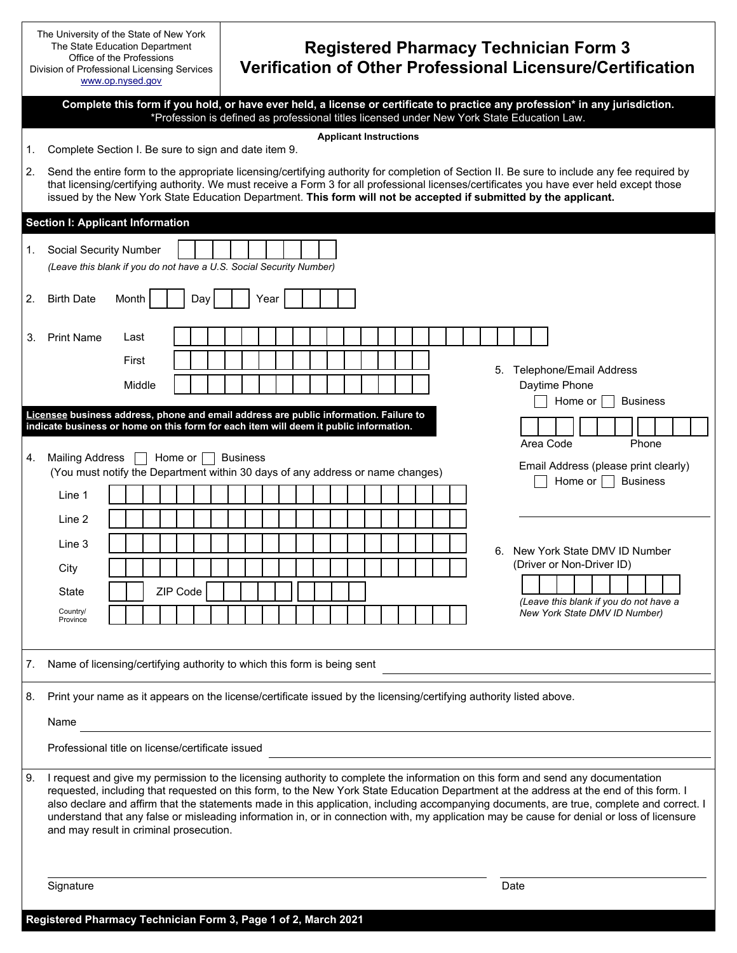|                                                                                                                                                                                                                                                                                                                           | The University of the State of New York<br>The State Education Department<br>Office of the Professions<br>Division of Professional Licensing Services<br>www.op.nysed.gov                                                                                                                                                                                                                                                                                                                                                                                                                                       | <b>Registered Pharmacy Technician Form 3</b><br>Verification of Other Professional Licensure/Certification               |  |  |  |  |
|---------------------------------------------------------------------------------------------------------------------------------------------------------------------------------------------------------------------------------------------------------------------------------------------------------------------------|-----------------------------------------------------------------------------------------------------------------------------------------------------------------------------------------------------------------------------------------------------------------------------------------------------------------------------------------------------------------------------------------------------------------------------------------------------------------------------------------------------------------------------------------------------------------------------------------------------------------|--------------------------------------------------------------------------------------------------------------------------|--|--|--|--|
| Complete this form if you hold, or have ever held, a license or certificate to practice any profession* in any jurisdiction.<br>*Profession is defined as professional titles licensed under New York State Education Law.<br><b>Applicant Instructions</b><br>Complete Section I. Be sure to sign and date item 9.<br>1. |                                                                                                                                                                                                                                                                                                                                                                                                                                                                                                                                                                                                                 |                                                                                                                          |  |  |  |  |
| 2.                                                                                                                                                                                                                                                                                                                        | Send the entire form to the appropriate licensing/certifying authority for completion of Section II. Be sure to include any fee required by<br>that licensing/certifying authority. We must receive a Form 3 for all professional licenses/certificates you have ever held except those<br>issued by the New York State Education Department. This form will not be accepted if submitted by the applicant.                                                                                                                                                                                                     |                                                                                                                          |  |  |  |  |
| <b>Section I: Applicant Information</b>                                                                                                                                                                                                                                                                                   |                                                                                                                                                                                                                                                                                                                                                                                                                                                                                                                                                                                                                 |                                                                                                                          |  |  |  |  |
| 1.                                                                                                                                                                                                                                                                                                                        | <b>Social Security Number</b><br>(Leave this blank if you do not have a U.S. Social Security Number)                                                                                                                                                                                                                                                                                                                                                                                                                                                                                                            |                                                                                                                          |  |  |  |  |
| 2.                                                                                                                                                                                                                                                                                                                        | <b>Birth Date</b><br>Day<br>Month                                                                                                                                                                                                                                                                                                                                                                                                                                                                                                                                                                               | Year                                                                                                                     |  |  |  |  |
| 3.                                                                                                                                                                                                                                                                                                                        | <b>Print Name</b><br>Last<br>First<br>Middle                                                                                                                                                                                                                                                                                                                                                                                                                                                                                                                                                                    | 5. Telephone/Email Address<br>Daytime Phone                                                                              |  |  |  |  |
| 4.                                                                                                                                                                                                                                                                                                                        | <b>Business</b><br>Home or<br>Licensee business address, phone and email address are public information. Failure to<br>indicate business or home on this form for each item will deem it public information.<br>Area Code<br>Phone<br><b>Mailing Address</b><br>Home or<br><b>Business</b><br>Email Address (please print clearly)                                                                                                                                                                                                                                                                              |                                                                                                                          |  |  |  |  |
|                                                                                                                                                                                                                                                                                                                           | Line 1                                                                                                                                                                                                                                                                                                                                                                                                                                                                                                                                                                                                          | (You must notify the Department within 30 days of any address or name changes)<br><b>Business</b><br>Home or $  \cdot  $ |  |  |  |  |
|                                                                                                                                                                                                                                                                                                                           | Line 2                                                                                                                                                                                                                                                                                                                                                                                                                                                                                                                                                                                                          |                                                                                                                          |  |  |  |  |
|                                                                                                                                                                                                                                                                                                                           | Line 3                                                                                                                                                                                                                                                                                                                                                                                                                                                                                                                                                                                                          | 6. New York State DMV ID Number                                                                                          |  |  |  |  |
|                                                                                                                                                                                                                                                                                                                           | City                                                                                                                                                                                                                                                                                                                                                                                                                                                                                                                                                                                                            | (Driver or Non-Driver ID)                                                                                                |  |  |  |  |
|                                                                                                                                                                                                                                                                                                                           | ZIP Code<br>State                                                                                                                                                                                                                                                                                                                                                                                                                                                                                                                                                                                               | (Leave this blank if you do not have a                                                                                   |  |  |  |  |
|                                                                                                                                                                                                                                                                                                                           | Country/<br>Province                                                                                                                                                                                                                                                                                                                                                                                                                                                                                                                                                                                            | New York State DMV ID Number)                                                                                            |  |  |  |  |
| 7.                                                                                                                                                                                                                                                                                                                        | Name of licensing/certifying authority to which this form is being sent                                                                                                                                                                                                                                                                                                                                                                                                                                                                                                                                         |                                                                                                                          |  |  |  |  |
| 8.                                                                                                                                                                                                                                                                                                                        |                                                                                                                                                                                                                                                                                                                                                                                                                                                                                                                                                                                                                 | Print your name as it appears on the license/certificate issued by the licensing/certifying authority listed above.      |  |  |  |  |
|                                                                                                                                                                                                                                                                                                                           | Name                                                                                                                                                                                                                                                                                                                                                                                                                                                                                                                                                                                                            |                                                                                                                          |  |  |  |  |
|                                                                                                                                                                                                                                                                                                                           | Professional title on license/certificate issued                                                                                                                                                                                                                                                                                                                                                                                                                                                                                                                                                                |                                                                                                                          |  |  |  |  |
| 9.                                                                                                                                                                                                                                                                                                                        | I request and give my permission to the licensing authority to complete the information on this form and send any documentation<br>requested, including that requested on this form, to the New York State Education Department at the address at the end of this form. I<br>also declare and affirm that the statements made in this application, including accompanying documents, are true, complete and correct. I<br>understand that any false or misleading information in, or in connection with, my application may be cause for denial or loss of licensure<br>and may result in criminal prosecution. |                                                                                                                          |  |  |  |  |
|                                                                                                                                                                                                                                                                                                                           | Signature                                                                                                                                                                                                                                                                                                                                                                                                                                                                                                                                                                                                       | Date                                                                                                                     |  |  |  |  |

**Registered Pharmacy Technician Form 3, Page 1 of 2, March 2021**